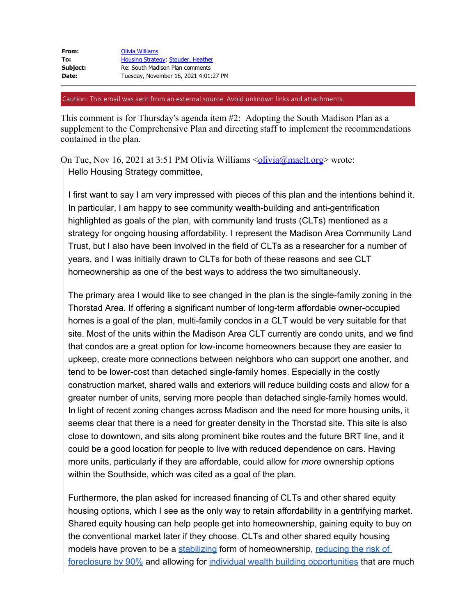Caution: This email was sent from an external source. Avoid unknown links and attachments.

This comment is for Thursday's agenda item #2: Adopting the South Madison Plan as a supplement to the Comprehensive Plan and directing staff to implement the recommendations contained in the plan.

On Tue, Nov 16, 2021 at 3:51 PM Olivia Williams  $\leq \frac{\text{olivia}(\hat{\omega} \text{mach.} \text{org})}{\text{wrote}}}$  wrote: Hello Housing Strategy committee,

I first want to say I am very impressed with pieces of this plan and the intentions behind it. In particular, I am happy to see community wealth-building and anti-gentrification highlighted as goals of the plan, with community land trusts (CLTs) mentioned as a strategy for ongoing housing affordability. I represent the Madison Area Community Land Trust, but I also have been involved in the field of CLTs as a researcher for a number of years, and I was initially drawn to CLTs for both of these reasons and see CLT homeownership as one of the best ways to address the two simultaneously.

The primary area I would like to see changed in the plan is the single-family zoning in the Thorstad Area. If offering a significant number of long-term affordable owner-occupied homes is a goal of the plan, multi-family condos in a CLT would be very suitable for that site. Most of the units within the Madison Area CLT currently are condo units, and we find that condos are a great option for low-income homeowners because they are easier to upkeep, create more connections between neighbors who can support one another, and tend to be lower-cost than detached single-family homes. Especially in the costly construction market, shared walls and exteriors will reduce building costs and allow for a greater number of units, serving more people than detached single-family homes would. In light of recent zoning changes across Madison and the need for more housing units, it seems clear that there is a need for greater density in the Thorstad site. This site is also close to downtown, and sits along prominent bike routes and the future BRT line, and it could be a good location for people to live with reduced dependence on cars. Having more units, particularly if they are affordable, could allow for *more* ownership options within the Southside, which was cited as a goal of the plan.

Furthermore, the plan asked for increased financing of CLTs and other shared equity housing options, which I see as the only way to retain affordability in a gentrifying market. Shared equity housing can help people get into homeownership, gaining equity to buy on the conventional market later if they choose. CLTs and other shared equity housing models have proven to be a [stabilizing](https://urldefense.proofpoint.com/v2/url?u=https-3A__www.lincolninst.edu_publications_working-2Dpapers_tracking-2Dgrowth-2Devaluating-2Dperformance-2Dshared-2Dequity-2Dhomeownership&d=DwMFaQ&c=byefhD2ZumMFFQYPZBagUCDuBiM9Q9twmxaBM0hCgII&r=B0OmsDIFpr6Suc3Gpe-7BdTzSBUVf2Gh4ohXRrVKByIAsBxRY9EC6kGdV0yQSNEm&m=juq75g2slUpwjpHRQRDnL1y-LPqkKR9XMyn1jKMZ718&s=6yWX_EhQLkZtnwAv8tSd7aU_17CAxd4eh0FwWMa_j_k&e=) form of homeownership, [reducing the risk of](https://urldefense.proofpoint.com/v2/url?u=https-3A__www.lincolninst.edu_publications_working-2Dpapers_outperforming-2Dmarket&d=DwMFaQ&c=byefhD2ZumMFFQYPZBagUCDuBiM9Q9twmxaBM0hCgII&r=B0OmsDIFpr6Suc3Gpe-7BdTzSBUVf2Gh4ohXRrVKByIAsBxRY9EC6kGdV0yQSNEm&m=juq75g2slUpwjpHRQRDnL1y-LPqkKR9XMyn1jKMZ718&s=UhJCPs1zApCR7mHX1tPa3RTNU3vq5bDkVjxPgO7Z7dY&e=) [foreclosure by 90%](https://urldefense.proofpoint.com/v2/url?u=https-3A__www.lincolninst.edu_publications_working-2Dpapers_outperforming-2Dmarket&d=DwMFaQ&c=byefhD2ZumMFFQYPZBagUCDuBiM9Q9twmxaBM0hCgII&r=B0OmsDIFpr6Suc3Gpe-7BdTzSBUVf2Gh4ohXRrVKByIAsBxRY9EC6kGdV0yQSNEm&m=juq75g2slUpwjpHRQRDnL1y-LPqkKR9XMyn1jKMZ718&s=UhJCPs1zApCR7mHX1tPa3RTNU3vq5bDkVjxPgO7Z7dY&e=) and allowing for [individual wealth building opportunities](https://urldefense.proofpoint.com/v2/url?u=https-3A__www.tandfonline.com_doi_abs_10.1080_10511482.2021.1949372-3FjournalCode-3Drhpd20&d=DwMFaQ&c=byefhD2ZumMFFQYPZBagUCDuBiM9Q9twmxaBM0hCgII&r=B0OmsDIFpr6Suc3Gpe-7BdTzSBUVf2Gh4ohXRrVKByIAsBxRY9EC6kGdV0yQSNEm&m=juq75g2slUpwjpHRQRDnL1y-LPqkKR9XMyn1jKMZ718&s=ms2VymWvvM27jVql9zZLhTmdLykoNRm_MPLFtL5INRA&e=) that are much